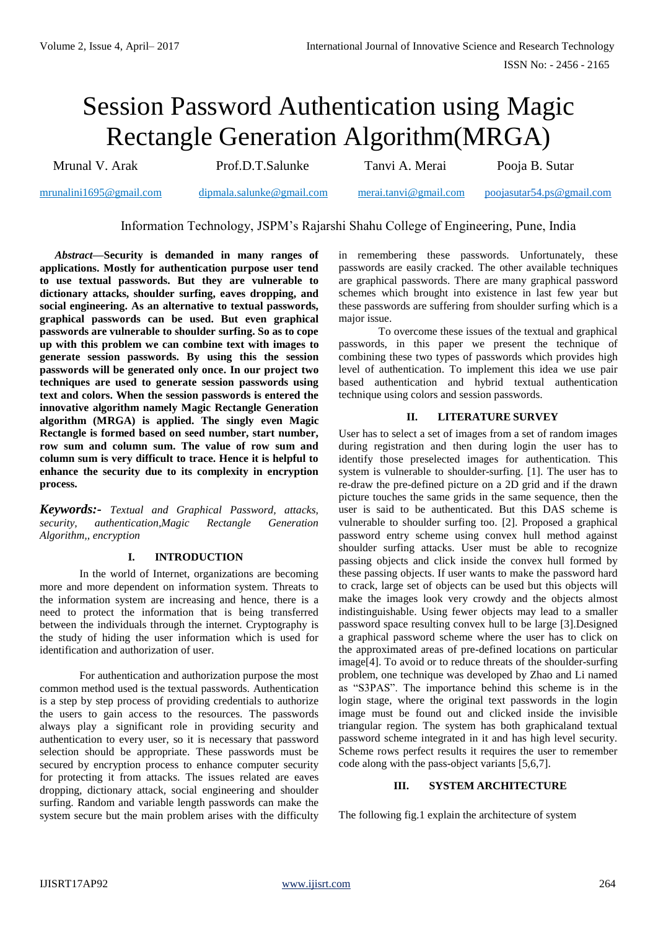# Session Password Authentication using Magic Rectangle Generation Algorithm(MRGA)

Mrunal V. Arak Prof.D.T.Salunke Tanvi A. Merai Pooja B. Sutar

[mrunalini1695@gmail.com](mailto:mrunalini1695@gmail.com) dipmala.salunke@gmail.com [merai.tanvi@gmail.com](mailto:merai.tanvi@gmail.com) [poojasutar54.ps@gmail.com](mailto:poojasutar54.ps@gmail.com)

Information Technology, JSPM's Rajarshi Shahu College of Engineering, Pune, India

*Abstract***—Security is demanded in many ranges of applications. Mostly for authentication purpose user tend to use textual passwords. But they are vulnerable to dictionary attacks, shoulder surfing, eaves dropping, and social engineering. As an alternative to textual passwords, graphical passwords can be used. But even graphical passwords are vulnerable to shoulder surfing. So as to cope up with this problem we can combine text with images to generate session passwords. By using this the session passwords will be generated only once. In our project two techniques are used to generate session passwords using text and colors. When the session passwords is entered the innovative algorithm namely Magic Rectangle Generation algorithm (MRGA) is applied. The singly even Magic Rectangle is formed based on seed number, start number, row sum and column sum. The value of row sum and column sum is very difficult to trace. Hence it is helpful to enhance the security due to its complexity in encryption process.**

*Keywords:- Textual and Graphical Password, attacks, security, authentication,Magic Rectangle Generation Algorithm,, encryption*

# **I. INTRODUCTION**

In the world of Internet, organizations are becoming more and more dependent on information system. Threats to the information system are increasing and hence, there is a need to protect the information that is being transferred between the individuals through the internet. Cryptography is the study of hiding the user information which is used for identification and authorization of user.

For authentication and authorization purpose the most common method used is the textual passwords. Authentication is a step by step process of providing credentials to authorize the users to gain access to the resources. The passwords always play a significant role in providing security and authentication to every user, so it is necessary that password selection should be appropriate. These passwords must be secured by encryption process to enhance computer security for protecting it from attacks. The issues related are eaves dropping, dictionary attack, social engineering and shoulder surfing. Random and variable length passwords can make the system secure but the main problem arises with the difficulty in remembering these passwords. Unfortunately, these passwords are easily cracked. The other available techniques are graphical passwords. There are many graphical password schemes which brought into existence in last few year but these passwords are suffering from shoulder surfing which is a major issue.

To overcome these issues of the textual and graphical passwords, in this paper we present the technique of combining these two types of passwords which provides high level of authentication. To implement this idea we use pair based authentication and hybrid textual authentication technique using colors and session passwords.

# **II. LITERATURE SURVEY**

User has to select a set of images from a set of random images during registration and then during login the user has to identify those preselected images for authentication. This system is vulnerable to shoulder-surfing. [1]. The user has to re-draw the pre-defined picture on a 2D grid and if the drawn picture touches the same grids in the same sequence, then the user is said to be authenticated. But this DAS scheme is vulnerable to shoulder surfing too. [2]. Proposed a graphical password entry scheme using convex hull method against shoulder surfing attacks. User must be able to recognize passing objects and click inside the convex hull formed by these passing objects. If user wants to make the password hard to crack, large set of objects can be used but this objects will make the images look very crowdy and the objects almost indistinguishable. Using fewer objects may lead to a smaller password space resulting convex hull to be large [3].Designed a graphical password scheme where the user has to click on the approximated areas of pre-defined locations on particular image[4]. To avoid or to reduce threats of the shoulder-surfing problem, one technique was developed by Zhao and Li named as "S3PAS". The importance behind this scheme is in the login stage, where the original text passwords in the login image must be found out and clicked inside the invisible triangular region. The system has both graphicaland textual password scheme integrated in it and has high level security. Scheme rows perfect results it requires the user to remember code along with the pass-object variants [5,6,7].

# **III. SYSTEM ARCHITECTURE**

The following fig.1 explain the architecture of system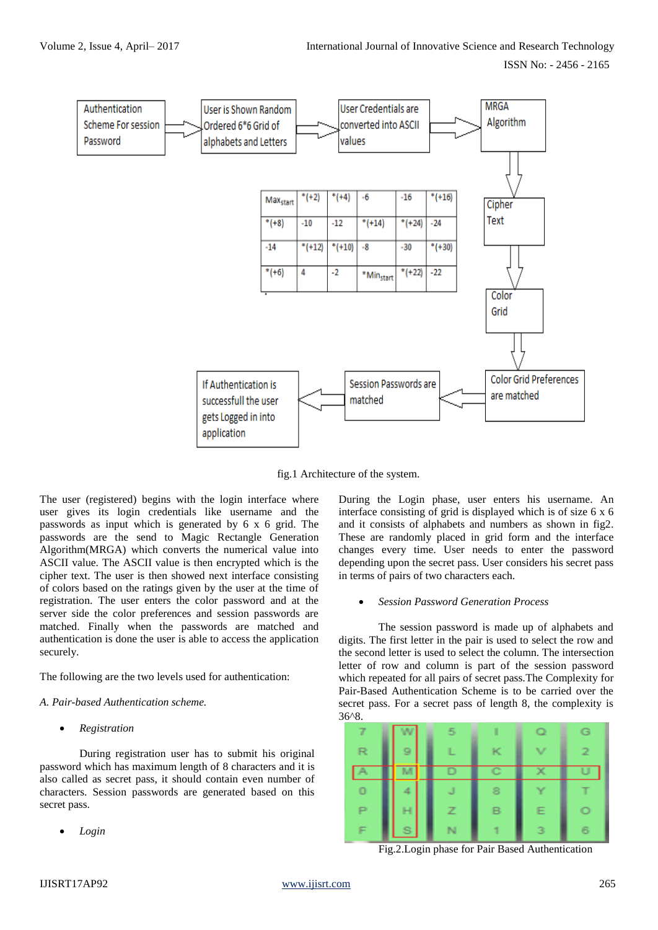

fig.1 Architecture of the system.

The user (registered) begins with the login interface where user gives its login credentials like username and the passwords as input which is generated by 6 x 6 grid. The passwords are the send to Magic Rectangle Generation Algorithm(MRGA) which converts the numerical value into ASCII value. The ASCII value is then encrypted which is the cipher text. The user is then showed next interface consisting of colors based on the ratings given by the user at the time of registration. The user enters the color password and at the server side the color preferences and session passwords are matched. Finally when the passwords are matched and authentication is done the user is able to access the application securely.

The following are the two levels used for authentication:

# *A. Pair-based Authentication scheme.*

*Registration*

During registration user has to submit his original password which has maximum length of 8 characters and it is also called as secret pass, it should contain even number of characters. Session passwords are generated based on this secret pass.

*Login*

During the Login phase, user enters his username. An interface consisting of grid is displayed which is of size 6 x 6 and it consists of alphabets and numbers as shown in fig2. These are randomly placed in grid form and the interface changes every time. User needs to enter the password depending upon the secret pass. User considers his secret pass in terms of pairs of two characters each.

# *Session Password Generation Process*

The session password is made up of alphabets and digits. The first letter in the pair is used to select the row and the second letter is used to select the column. The intersection letter of row and column is part of the session password which repeated for all pairs of secret pass.The Complexity for Pair-Based Authentication Scheme is to be carried over the secret pass. For a secret pass of length 8, the complexity is 36^8.



Fig.2.Login phase for Pair Based Authentication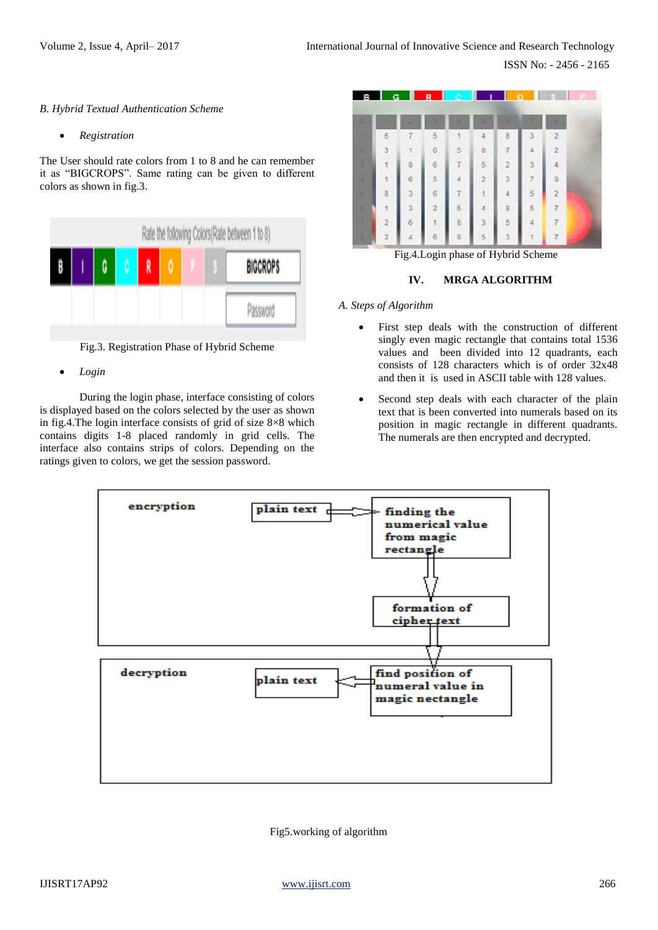#### *B. Hybrid Textual Authentication Scheme*

*Registration*

The User should rate colors from 1 to 8 and he can remember it as "BIGCROPS". Same rating can be given to different colors as shown in fig.3.



Fig.3. Registration Phase of Hybrid Scheme

*Login*

During the login phase, interface consisting of colors is displayed based on the colors selected by the user as shown in fig.4.The login interface consists of grid of size 8×8 which contains digits 1-8 placed randomly in grid cells. The interface also contains strips of colors. Depending on the ratings given to colors, we get the session password.





## **IV. MRGA ALGORITHM**

*A. Steps of Algorithm*

- First step deals with the construction of different singly even magic rectangle that contains total 1536 values and been divided into 12 quadrants, each consists of 128 characters which is of order 32x48 and then it is used in ASCII table with 128 values.
- Second step deals with each character of the plain text that is been converted into numerals based on its position in magic rectangle in different quadrants. The numerals are then encrypted and decrypted.



Fig5.working of algorithm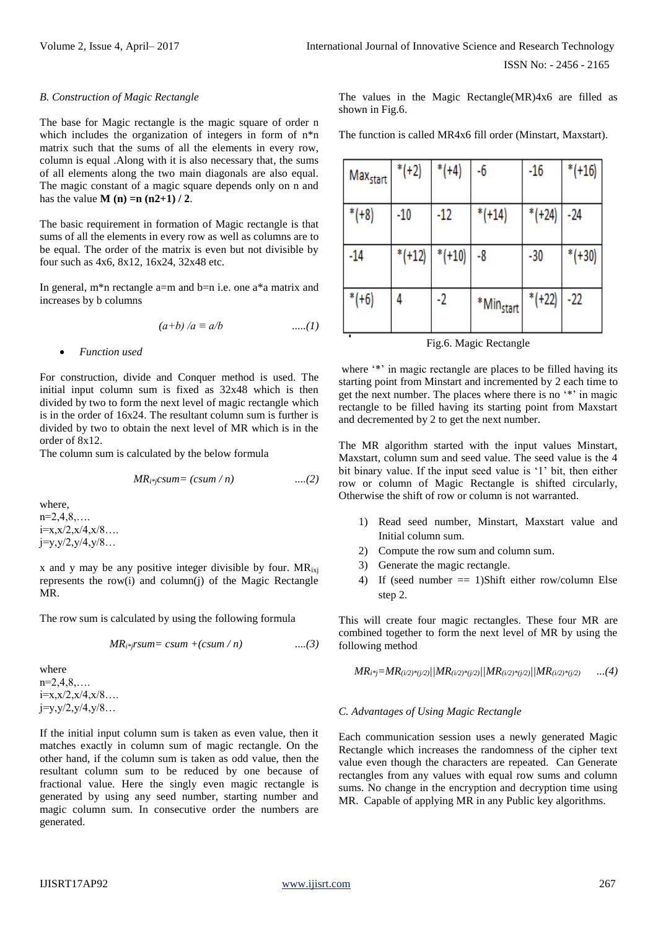#### *B. Construction of Magic Rectangle*

The base for Magic rectangle is the magic square of order n which includes the organization of integers in form of  $n^*n$ matrix such that the sums of all the elements in every row, column is equal .Along with it is also necessary that, the sums of all elements along the two main diagonals are also equal. The magic constant of a magic square depends only on n and has the value **M** (**n**) = **n** (**n2+1**) / 2.

The basic requirement in formation of Magic rectangle is that sums of all the elements in every row as well as columns are to be equal. The order of the matrix is even but not divisible by four such as 4x6, 8x12, 16x24, 32x48 etc.

In general, m\*n rectangle a=m and b=n i.e. one a\*a matrix and increases by b columns

$$
(a+b)/a \equiv a/b
$$
 ....(1)

*Function used*

For construction, divide and Conquer method is used. The initial input column sum is fixed as 32x48 which is then divided by two to form the next level of magic rectangle which is in the order of 16x24. The resultant column sum is further is divided by two to obtain the next level of MR which is in the order of 8x12.

The column sum is calculated by the below formula

$$
MR_{i^*j}csum = (csum / n) \qquad \qquad \ldots (2)
$$

where,  $n=2,4,8,...$  $i=x,x/2,x/4,x/8...$  $j=y,y/2,y/4,y/8...$ 

x and y may be any positive integer divisible by four.  $MR_{ixj}$ represents the row(i) and column(j) of the Magic Rectangle MR.

The row sum is calculated by using the following formula

$$
MR_{i^*j}rsum = csum + (csum / n)
$$
 ....(3)

where  $n=2,4,8,...$  $i=x, x/2, x/4, x/8...$ j=y,y/2,y/4,y/8…

If the initial input column sum is taken as even value, then it matches exactly in column sum of magic rectangle. On the other hand, if the column sum is taken as odd value, then the resultant column sum to be reduced by one because of fractional value. Here the singly even magic rectangle is generated by using any seed number, starting number and magic column sum. In consecutive order the numbers are generated.

The values in the Magic Rectangle(MR)4x6 are filled as shown in Fig.6.

The function is called MR4x6 fill order (Minstart, Maxstart).

| Max <sub>start</sub> | $*$ (+2) | $*$ (+4) | -6                    | $-16$     | $*(+16)$ |
|----------------------|----------|----------|-----------------------|-----------|----------|
| $*$ (+8)             | $-10$    | -12      | $*$ (+14)             | $*$ (+24) | -24      |
| -14                  | $*(+12)$ | $*(+10)$ | -8                    | -30       | $*(+30)$ |
| $*(+6)$              | 4        | -2       | *Min <sub>start</sub> | $*(+22)$  | -22      |

Fig.6. Magic Rectangle

where '\*' in magic rectangle are places to be filled having its starting point from Minstart and incremented by 2 each time to get the next number. The places where there is no '\*' in magic rectangle to be filled having its starting point from Maxstart and decremented by 2 to get the next number.

The MR algorithm started with the input values Minstart, Maxstart, column sum and seed value. The seed value is the 4 bit binary value. If the input seed value is '1' bit, then either row or column of Magic Rectangle is shifted circularly, Otherwise the shift of row or column is not warranted.

- 1) Read seed number, Minstart, Maxstart value and Initial column sum.
- 2) Compute the row sum and column sum.
- 3) Generate the magic rectangle.
- 4) If (seed number == 1)Shift either row/column Else step 2.

This will create four magic rectangles. These four MR are combined together to form the next level of MR by using the following method

$$
MR_{i^*j} = MR_{(i/2)^*(j/2)}//MR_{(i/2)^*(j/2)}//MR_{(i/2)^*(j/2)}//MR_{(i/2)^*(j/2)} \qquad ...(4)
$$

# *C. Advantages of Using Magic Rectangle*

Each communication session uses a newly generated Magic Rectangle which increases the randomness of the cipher text value even though the characters are repeated. Can Generate rectangles from any values with equal row sums and column sums. No change in the encryption and decryption time using MR. Capable of applying MR in any Public key algorithms.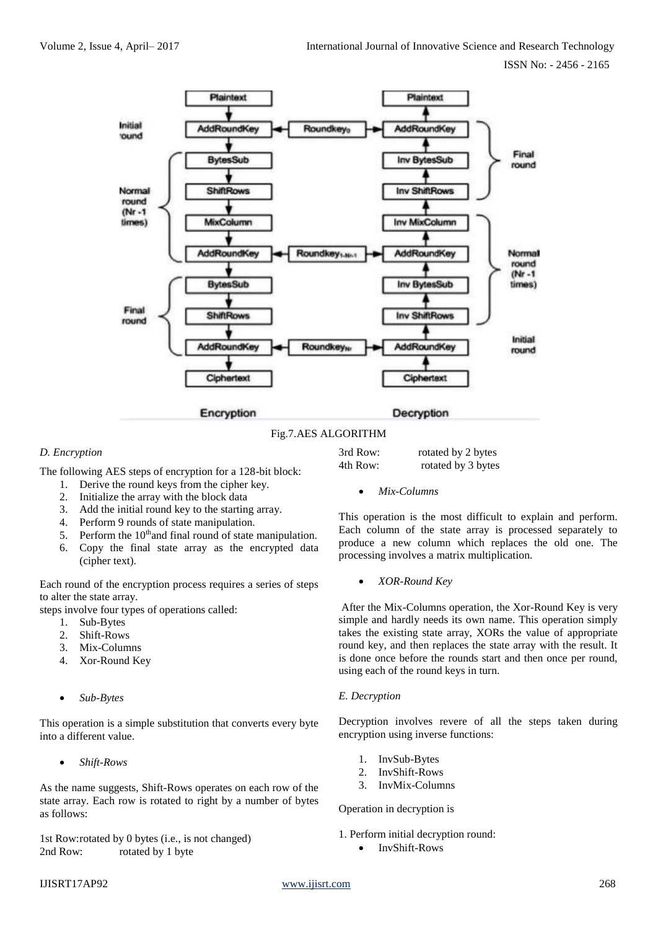

Fig.7.AES ALGORITHM

# *D. Encryption*

The following AES steps of encryption for a 128-bit block:

- 1. Derive the round keys from the cipher key.
- 2. Initialize the array with the block data
- 3. Add the initial round key to the starting array.
- 4. Perform 9 rounds of state manipulation.
- 5. Perform the  $10<sup>th</sup>$  and final round of state manipulation.
- 6. Copy the final state array as the encrypted data (cipher text).

Each round of the encryption process requires a series of steps to alter the state array.

steps involve four types of operations called:

- 1. Sub-Bytes
- 2. Shift-Rows
- 3. Mix-Columns
- 4. Xor-Round Key
- *Sub-Bytes*

This operation is a simple substitution that converts every byte into a different value.

*Shift-Rows*

As the name suggests, Shift-Rows operates on each row of the state array. Each row is rotated to right by a number of bytes as follows:

1st Row:rotated by 0 bytes (i.e., is not changed) 2nd Row: rotated by 1 byte

| 3rd Row: | rotated by 2 bytes |
|----------|--------------------|
| 4th Row: | rotated by 3 bytes |

*Mix-Columns*

This operation is the most difficult to explain and perform. Each column of the state array is processed separately to produce a new column which replaces the old one. The processing involves a matrix multiplication.

*XOR-Round Key*

After the Mix-Columns operation, the Xor-Round Key is very simple and hardly needs its own name. This operation simply takes the existing state array, XORs the value of appropriate round key, and then replaces the state array with the result. It is done once before the rounds start and then once per round, using each of the round keys in turn.

#### *E. Decryption*

Decryption involves revere of all the steps taken during encryption using inverse functions:

- 1. InvSub-Bytes
- 2. InvShift-Rows
- 3. InvMix-Columns

# Operation in decryption is

1. Perform initial decryption round: • InvShift-Rows